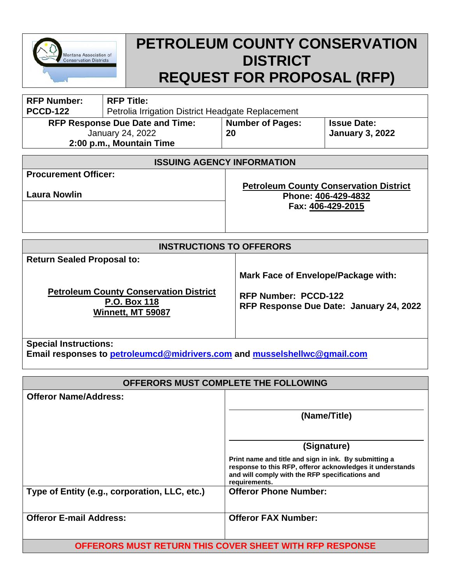

# **PETROLEUM COUNTY CONSERVATION DISTRICT REQUEST FOR PROPOSAL (RFP)**

| <b>RFP Number:</b><br><b>PCCD-122</b>                                                         | <b>RFP Title:</b><br>Petrolia Irrigation District Headgate Replacement |                                                                                           |                                              |  |
|-----------------------------------------------------------------------------------------------|------------------------------------------------------------------------|-------------------------------------------------------------------------------------------|----------------------------------------------|--|
| <b>RFP Response Due Date and Time:</b><br><b>January 24, 2022</b><br>2:00 p.m., Mountain Time |                                                                        | <b>Number of Pages:</b><br>20                                                             | <b>Issue Date:</b><br><b>January 3, 2022</b> |  |
| <b>ISSUING AGENCY INFORMATION</b>                                                             |                                                                        |                                                                                           |                                              |  |
| <b>Procurement Officer:</b>                                                                   |                                                                        |                                                                                           |                                              |  |
| <b>Laura Nowlin</b>                                                                           |                                                                        | <b>Petroleum County Conservation District</b><br>Phone: 406-429-4832<br>Fax: 406-429-2015 |                                              |  |
| <b>INSTRUCTIONS TO OFFERORS</b>                                                               |                                                                        |                                                                                           |                                              |  |

| <b>Return Sealed Proposal to:</b> |  |  |
|-----------------------------------|--|--|
|-----------------------------------|--|--|

**Petroleum County Conservation District P.O. Box 118 Winnett, MT 59087**

**Mark Face of Envelope/Package with:**

**RFP Number: PCCD-122 RFP Response Due Date: January 24, 2022**

**Special Instructions:**

**Email responses to [petroleumcd@midrivers.com](mailto:petroleumcd@midrivers.com) and [musselshellwc@gmail.com](mailto:musselshellwc@gmail.com)**

| OFFERORS MUST COMPLETE THE FOLLOWING          |                                                                                                                                                                                        |  |  |
|-----------------------------------------------|----------------------------------------------------------------------------------------------------------------------------------------------------------------------------------------|--|--|
| <b>Offeror Name/Address:</b>                  |                                                                                                                                                                                        |  |  |
|                                               | (Name/Title)                                                                                                                                                                           |  |  |
|                                               | (Signature)                                                                                                                                                                            |  |  |
|                                               | Print name and title and sign in ink. By submitting a<br>response to this RFP, offeror acknowledges it understands<br>and will comply with the RFP specifications and<br>requirements. |  |  |
| Type of Entity (e.g., corporation, LLC, etc.) | <b>Offeror Phone Number:</b>                                                                                                                                                           |  |  |
| <b>Offeror E-mail Address:</b>                | <b>Offeror FAX Number:</b>                                                                                                                                                             |  |  |
|                                               |                                                                                                                                                                                        |  |  |

**OFFERORS MUST RETURN THIS COVER SHEET WITH RFP RESPONSE**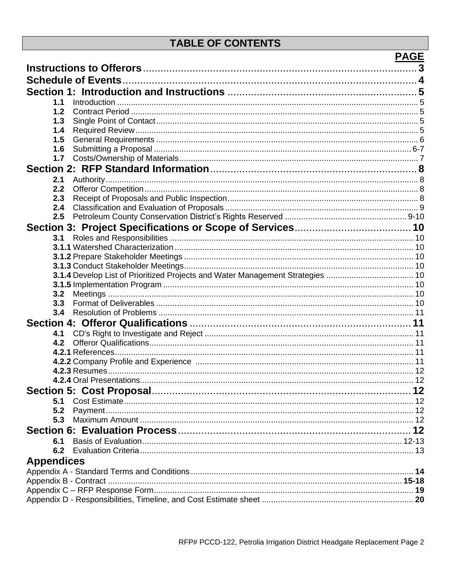# **TABLE OF CONTENTS**

|                                                                                | <b>PAGE</b> |
|--------------------------------------------------------------------------------|-------------|
|                                                                                |             |
|                                                                                |             |
|                                                                                |             |
|                                                                                |             |
| 1.1                                                                            |             |
| 1.2                                                                            |             |
| 1.3                                                                            |             |
| 1.4                                                                            |             |
| 1.5                                                                            |             |
| 1.6                                                                            |             |
| 1.7                                                                            |             |
|                                                                                |             |
| 2.1                                                                            |             |
| 2.2                                                                            |             |
| 2.3                                                                            |             |
| 2.4                                                                            |             |
| 2.5                                                                            |             |
|                                                                                |             |
| 3.1                                                                            |             |
|                                                                                |             |
|                                                                                |             |
|                                                                                |             |
| 3.1.4 Develop List of Prioritized Projects and Water Management Strategies  10 |             |
|                                                                                |             |
| 3.2                                                                            |             |
| 3.3                                                                            |             |
| 3.4                                                                            |             |
|                                                                                |             |
| 4.1                                                                            |             |
| 4.2                                                                            |             |
|                                                                                |             |
|                                                                                |             |
|                                                                                |             |
| 4.2.4 Oral Presentations.                                                      |             |
|                                                                                |             |
| 5.1                                                                            |             |
| 5.2                                                                            |             |
| 5.3                                                                            |             |
|                                                                                |             |
| 6.1                                                                            |             |
| 6.2                                                                            |             |
|                                                                                |             |
| <b>Appendices</b>                                                              |             |
|                                                                                |             |
|                                                                                |             |
|                                                                                |             |
|                                                                                |             |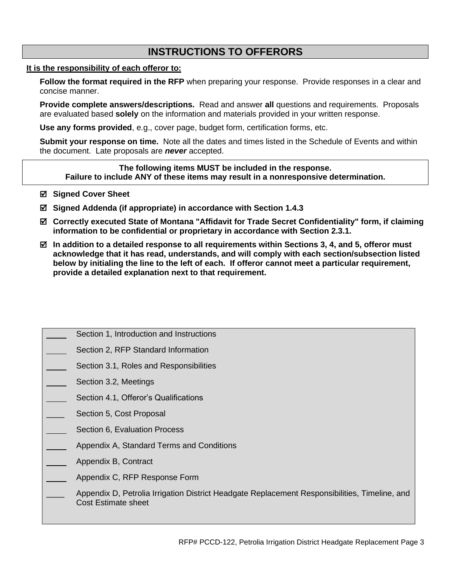# **INSTRUCTIONS TO OFFERORS**

#### **It is the responsibility of each offeror to:**

Follow the format required in the RFP when preparing your response. Provide responses in a clear and concise manner.

**Provide complete answers/descriptions.** Read and answer **all** questions and requirements. Proposals are evaluated based **solely** on the information and materials provided in your written response.

**Use any forms provided**, e.g., cover page, budget form, certification forms, etc.

**Submit your response on time.** Note all the dates and times listed in the Schedule of Events and within the document. Late proposals are *never* accepted.

**The following items MUST be included in the response. Failure to include ANY of these items may result in a nonresponsive determination.**

- **Signed Cover Sheet**
- **Signed Addenda (if appropriate) in accordance with Section 1.4.3**
- **Correctly executed State of Montana "Affidavit for Trade Secret Confidentiality" form, if claiming information to be confidential or proprietary in accordance with Section 2.3.1.**
- **In addition to a detailed response to all requirements within Sections 3, 4, and 5, offeror must acknowledge that it has read, understands, and will comply with each section/subsection listed below by initialing the line to the left of each. If offeror cannot meet a particular requirement, provide a detailed explanation next to that requirement.**
	- Section 1, Introduction and Instructions
	- Section 2, RFP Standard Information
	- Section 3.1, Roles and Responsibilities
	- Section 3.2, Meetings
	- Section 4.1, Offeror's Qualifications
	- Section 5, Cost Proposal
	- Section 6, Evaluation Process
	- Appendix A, Standard Terms and Conditions
	- Appendix B, Contract
	- Appendix C, RFP Response Form
		- Appendix D, Petrolia Irrigation District Headgate Replacement Responsibilities, Timeline, and Cost Estimate sheet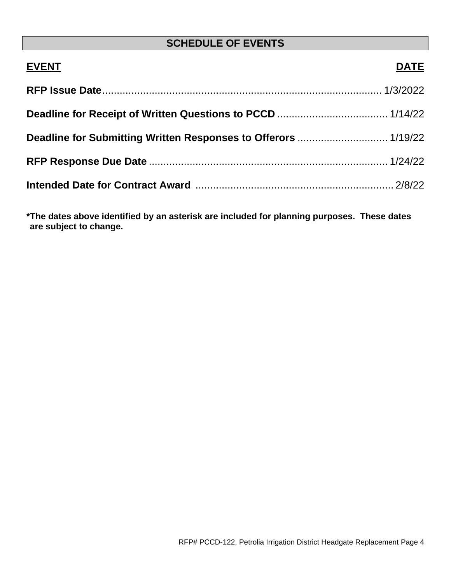# **SCHEDULE OF EVENTS**

| <b>EVENT</b> | <b>DATE</b> |
|--------------|-------------|
|              |             |
|              |             |
|              |             |
|              |             |
|              |             |

**\*The dates above identified by an asterisk are included for planning purposes. These dates are subject to change.**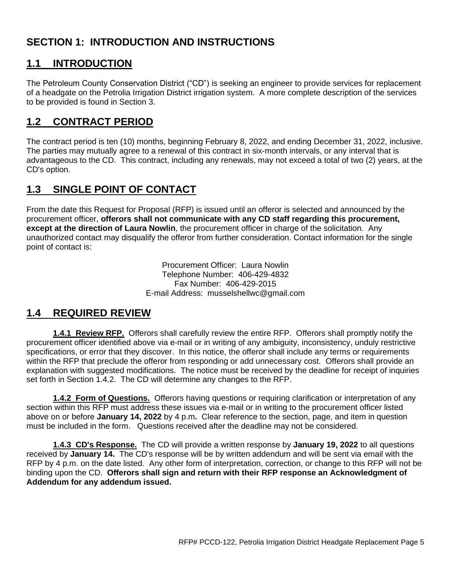# **SECTION 1: INTRODUCTION AND INSTRUCTIONS**

### **1.1 INTRODUCTION**

The Petroleum County Conservation District ("CD") is seeking an engineer to provide services for replacement of a headgate on the Petrolia Irrigation District irrigation system. A more complete description of the services to be provided is found in Section 3.

# **1.2 CONTRACT PERIOD**

The contract period is ten (10) months, beginning February 8, 2022, and ending December 31, 2022, inclusive. The parties may mutually agree to a renewal of this contract in six-month intervals, or any interval that is advantageous to the CD. This contract, including any renewals, may not exceed a total of two (2) years, at the CD's option.

# **1.3 SINGLE POINT OF CONTACT**

From the date this Request for Proposal (RFP) is issued until an offeror is selected and announced by the procurement officer, **offerors shall not communicate with any CD staff regarding this procurement, except at the direction of Laura Nowlin**, the procurement officer in charge of the solicitation. Any unauthorized contact may disqualify the offeror from further consideration. Contact information for the single point of contact is:

> Procurement Officer: Laura Nowlin Telephone Number: 406-429-4832 Fax Number: 406-429-2015 E-mail Address: musselshellwc@gmail.com

# **1.4 REQUIRED REVIEW**

**1.4.1 Review RFP.** Offerors shall carefully review the entire RFP. Offerors shall promptly notify the procurement officer identified above via e-mail or in writing of any ambiguity, inconsistency, unduly restrictive specifications, or error that they discover. In this notice, the offeror shall include any terms or requirements within the RFP that preclude the offeror from responding or add unnecessary cost. Offerors shall provide an explanation with suggested modifications. The notice must be received by the deadline for receipt of inquiries set forth in Section 1.4.2. The CD will determine any changes to the RFP.

**1.4.2 Form of Questions.** Offerors having questions or requiring clarification or interpretation of any section within this RFP must address these issues via e-mail or in writing to the procurement officer listed above on or before **January 14, 2022** by 4 p.m**.** Clear reference to the section, page, and item in question must be included in the form. Questions received after the deadline may not be considered.

**1.4.3 CD's Response.** The CD will provide a written response by **January 19, 2022** to all questions received by **January 14.** The CD's response will be by written addendum and will be sent via email with the RFP by 4 p.m. on the date listed. Any other form of interpretation, correction, or change to this RFP will not be binding upon the CD. **Offerors shall sign and return with their RFP response an Acknowledgment of Addendum for any addendum issued.**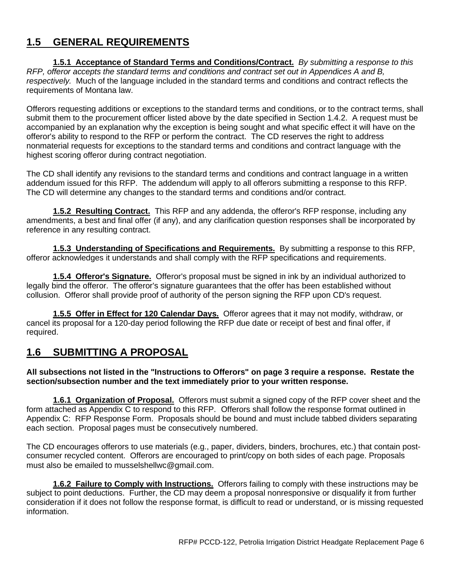# **1.5 GENERAL REQUIREMENTS**

**1.5.1 Acceptance of Standard Terms and Conditions/Contract.** *By submitting a response to this RFP, offeror accepts the standard terms and conditions and contract set out in Appendices A and B, respectively.* Much of the language included in the standard terms and conditions and contract reflects the requirements of Montana law.

Offerors requesting additions or exceptions to the standard terms and conditions, or to the contract terms, shall submit them to the procurement officer listed above by the date specified in Section 1.4.2. A request must be accompanied by an explanation why the exception is being sought and what specific effect it will have on the offeror's ability to respond to the RFP or perform the contract. The CD reserves the right to address nonmaterial requests for exceptions to the standard terms and conditions and contract language with the highest scoring offeror during contract negotiation.

The CD shall identify any revisions to the standard terms and conditions and contract language in a written addendum issued for this RFP. The addendum will apply to all offerors submitting a response to this RFP. The CD will determine any changes to the standard terms and conditions and/or contract.

**1.5.2 Resulting Contract.** This RFP and any addenda, the offeror's RFP response, including any amendments, a best and final offer (if any), and any clarification question responses shall be incorporated by reference in any resulting contract.

**1.5.3 Understanding of Specifications and Requirements.** By submitting a response to this RFP, offeror acknowledges it understands and shall comply with the RFP specifications and requirements.

**1.5.4 Offeror's Signature.** Offeror's proposal must be signed in ink by an individual authorized to legally bind the offeror. The offeror's signature guarantees that the offer has been established without collusion. Offeror shall provide proof of authority of the person signing the RFP upon CD's request.

**1.5.5 Offer in Effect for 120 Calendar Days.** Offeror agrees that it may not modify, withdraw, or cancel its proposal for a 120-day period following the RFP due date or receipt of best and final offer, if required.

### **1.6 SUBMITTING A PROPOSAL**

#### **All subsections not listed in the "Instructions to Offerors" on page 3 require a response. Restate the section/subsection number and the text immediately prior to your written response.**

**1.6.1 Organization of Proposal.** Offerors must submit a signed copy of the RFP cover sheet and the form attached as Appendix C to respond to this RFP. Offerors shall follow the response format outlined in Appendix C: RFP Response Form. Proposals should be bound and must include tabbed dividers separating each section. Proposal pages must be consecutively numbered.

The CD encourages offerors to use materials (e.g., paper, dividers, binders, brochures, etc.) that contain postconsumer recycled content. Offerors are encouraged to print/copy on both sides of each page. Proposals must also be emailed to musselshellwc@gmail.com.

**1.6.2 Failure to Comply with Instructions.** Offerors failing to comply with these instructions may be subject to point deductions. Further, the CD may deem a proposal nonresponsive or disqualify it from further consideration if it does not follow the response format, is difficult to read or understand, or is missing requested information.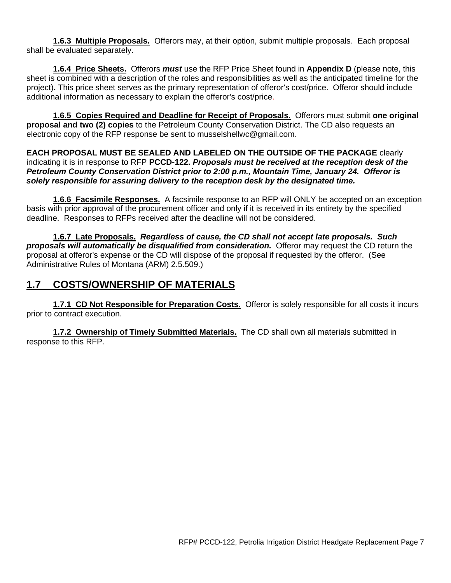**1.6.3 Multiple Proposals.** Offerors may, at their option, submit multiple proposals. Each proposal shall be evaluated separately.

**1.6.4 Price Sheets.** Offerors *must* use the RFP Price Sheet found in **Appendix D** (please note, this sheet is combined with a description of the roles and responsibilities as well as the anticipated timeline for the project)**.** This price sheet serves as the primary representation of offeror's cost/price. Offeror should include additional information as necessary to explain the offeror's cost/price.

**1.6.5 Copies Required and Deadline for Receipt of Proposals.** Offerors must submit **one original proposal and two (2) copies** to the Petroleum County Conservation District. The CD also requests an electronic copy of the RFP response be sent to musselshellwc@gmail.com.

**EACH PROPOSAL MUST BE SEALED AND LABELED ON THE OUTSIDE OF THE PACKAGE** clearly indicating it is in response to RFP **PCCD-122.** *Proposals must be received at the reception desk of the Petroleum County Conservation District prior to 2:00 p.m., Mountain Time, January 24. Offeror is solely responsible for assuring delivery to the reception desk by the designated time.*

**1.6.6 Facsimile Responses.** A facsimile response to an RFP will ONLY be accepted on an exception basis with prior approval of the procurement officer and only if it is received in its entirety by the specified deadline. Responses to RFPs received after the deadline will not be considered.

**1.6.7 Late Proposals.** *Regardless of cause, the CD shall not accept late proposals. Such proposals will automatically be disqualified from consideration.* Offeror may request the CD return the proposal at offeror's expense or the CD will dispose of the proposal if requested by the offeror. (See Administrative Rules of Montana (ARM) 2.5.509.)

# **1.7 COSTS/OWNERSHIP OF MATERIALS**

**1.7.1 CD Not Responsible for Preparation Costs.** Offeror is solely responsible for all costs it incurs prior to contract execution.

**1.7.2 Ownership of Timely Submitted Materials.** The CD shall own all materials submitted in response to this RFP.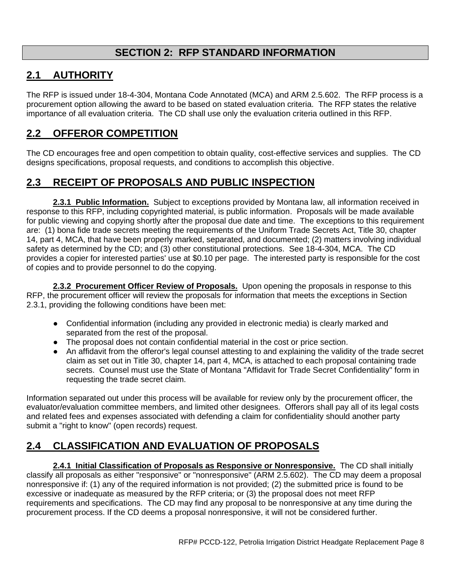# **SECTION 2: RFP STANDARD INFORMATION**

# **2.1 AUTHORITY**

The RFP is issued under 18-4-304, Montana Code Annotated (MCA) and ARM 2.5.602. The RFP process is a procurement option allowing the award to be based on stated evaluation criteria. The RFP states the relative importance of all evaluation criteria. The CD shall use only the evaluation criteria outlined in this RFP.

# **2.2 OFFEROR COMPETITION**

The CD encourages free and open competition to obtain quality, cost-effective services and supplies. The CD designs specifications, proposal requests, and conditions to accomplish this objective.

# **2.3 RECEIPT OF PROPOSALS AND PUBLIC INSPECTION**

**2.3.1 Public Information.** Subject to exceptions provided by Montana law, all information received in response to this RFP, including copyrighted material, is public information. Proposals will be made available for public viewing and copying shortly after the proposal due date and time. The exceptions to this requirement are: (1) bona fide trade secrets meeting the requirements of the Uniform Trade Secrets Act, Title 30, chapter 14, part 4, MCA, that have been properly marked, separated, and documented; (2) matters involving individual safety as determined by the CD; and (3) other constitutional protections. See 18-4-304, MCA. The CD provides a copier for interested parties' use at \$0.10 per page. The interested party is responsible for the cost of copies and to provide personnel to do the copying.

**2.3.2 Procurement Officer Review of Proposals.** Upon opening the proposals in response to this RFP, the procurement officer will review the proposals for information that meets the exceptions in Section 2.3.1, providing the following conditions have been met:

- Confidential information (including any provided in electronic media) is clearly marked and separated from the rest of the proposal.
- The proposal does not contain confidential material in the cost or price section.
- An affidavit from the offeror's legal counsel attesting to and explaining the validity of the trade secret claim as set out in Title 30, chapter 14, part 4, MCA, is attached to each proposal containing trade secrets. Counsel must use the State of Montana "Affidavit for Trade Secret Confidentiality" form in requesting the trade secret claim.

Information separated out under this process will be available for review only by the procurement officer, the evaluator/evaluation committee members, and limited other designees. Offerors shall pay all of its legal costs and related fees and expenses associated with defending a claim for confidentiality should another party submit a "right to know" (open records) request.

# **2.4 CLASSIFICATION AND EVALUATION OF PROPOSALS**

**2.4.1 Initial Classification of Proposals as Responsive or Nonresponsive.** The CD shall initially classify all proposals as either "responsive" or "nonresponsive" (ARM 2.5.602). The CD may deem a proposal nonresponsive if: (1) any of the required information is not provided; (2) the submitted price is found to be excessive or inadequate as measured by the RFP criteria; or (3) the proposal does not meet RFP requirements and specifications. The CD may find any proposal to be nonresponsive at any time during the procurement process. If the CD deems a proposal nonresponsive, it will not be considered further.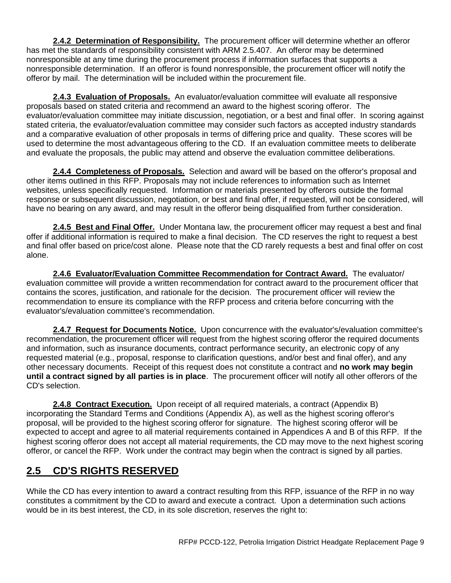**2.4.2 Determination of Responsibility.** The procurement officer will determine whether an offeror has met the standards of responsibility consistent with ARM 2.5.407. An offeror may be determined nonresponsible at any time during the procurement process if information surfaces that supports a nonresponsible determination. If an offeror is found nonresponsible, the procurement officer will notify the offeror by mail. The determination will be included within the procurement file.

**2.4.3 Evaluation of Proposals.** An evaluator/evaluation committee will evaluate all responsive proposals based on stated criteria and recommend an award to the highest scoring offeror. The evaluator/evaluation committee may initiate discussion, negotiation, or a best and final offer. In scoring against stated criteria, the evaluator/evaluation committee may consider such factors as accepted industry standards and a comparative evaluation of other proposals in terms of differing price and quality. These scores will be used to determine the most advantageous offering to the CD. If an evaluation committee meets to deliberate and evaluate the proposals, the public may attend and observe the evaluation committee deliberations.

**2.4.4 Completeness of Proposals.** Selection and award will be based on the offeror's proposal and other items outlined in this RFP. Proposals may not include references to information such as Internet websites, unless specifically requested. Information or materials presented by offerors outside the formal response or subsequent discussion, negotiation, or best and final offer, if requested, will not be considered, will have no bearing on any award, and may result in the offeror being disqualified from further consideration.

**2.4.5 Best and Final Offer.** Under Montana law, the procurement officer may request a best and final offer if additional information is required to make a final decision. The CD reserves the right to request a best and final offer based on price/cost alone. Please note that the CD rarely requests a best and final offer on cost alone.

**2.4.6 Evaluator/Evaluation Committee Recommendation for Contract Award.** The evaluator/ evaluation committee will provide a written recommendation for contract award to the procurement officer that contains the scores, justification, and rationale for the decision. The procurement officer will review the recommendation to ensure its compliance with the RFP process and criteria before concurring with the evaluator's/evaluation committee's recommendation.

**2.4.7 Request for Documents Notice.** Upon concurrence with the evaluator's/evaluation committee's recommendation, the procurement officer will request from the highest scoring offeror the required documents and information, such as insurance documents, contract performance security, an electronic copy of any requested material (e.g., proposal, response to clarification questions, and/or best and final offer), and any other necessary documents. Receipt of this request does not constitute a contract and **no work may begin until a contract signed by all parties is in place**. The procurement officer will notify all other offerors of the CD's selection.

**2.4.8 Contract Execution.** Upon receipt of all required materials, a contract (Appendix B) incorporating the Standard Terms and Conditions (Appendix A), as well as the highest scoring offeror's proposal, will be provided to the highest scoring offeror for signature. The highest scoring offeror will be expected to accept and agree to all material requirements contained in Appendices A and B of this RFP. If the highest scoring offeror does not accept all material requirements, the CD may move to the next highest scoring offeror, or cancel the RFP. Work under the contract may begin when the contract is signed by all parties.

# **2.5 CD'S RIGHTS RESERVED**

While the CD has every intention to award a contract resulting from this RFP, issuance of the RFP in no way constitutes a commitment by the CD to award and execute a contract. Upon a determination such actions would be in its best interest, the CD, in its sole discretion, reserves the right to: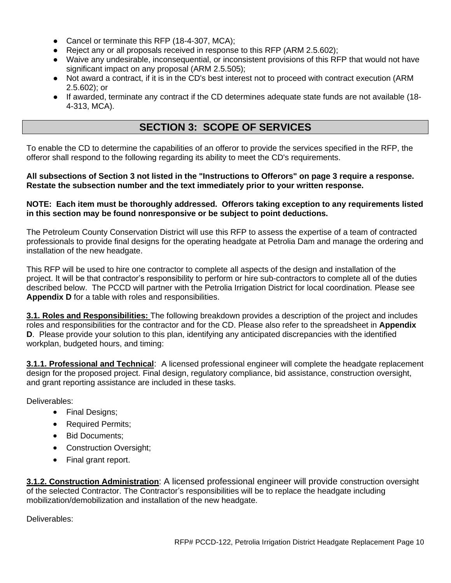- Cancel or terminate this RFP (18-4-307, MCA);
- Reject any or all proposals received in response to this RFP (ARM 2.5.602):
- Waive any undesirable, inconsequential, or inconsistent provisions of this RFP that would not have significant impact on any proposal (ARM 2.5.505);
- Not award a contract, if it is in the CD's best interest not to proceed with contract execution (ARM 2.5.602); or
- If awarded, terminate any contract if the CD determines adequate state funds are not available (18- 4-313, MCA).

# **SECTION 3: SCOPE OF SERVICES**

To enable the CD to determine the capabilities of an offeror to provide the services specified in the RFP, the offeror shall respond to the following regarding its ability to meet the CD's requirements.

#### **All subsections of Section 3 not listed in the "Instructions to Offerors" on page 3 require a response. Restate the subsection number and the text immediately prior to your written response.**

#### **NOTE: Each item must be thoroughly addressed. Offerors taking exception to any requirements listed in this section may be found nonresponsive or be subject to point deductions.**

The Petroleum County Conservation District will use this RFP to assess the expertise of a team of contracted professionals to provide final designs for the operating headgate at Petrolia Dam and manage the ordering and installation of the new headgate.

This RFP will be used to hire one contractor to complete all aspects of the design and installation of the project. It will be that contractor's responsibility to perform or hire sub-contractors to complete all of the duties described below. The PCCD will partner with the Petrolia Irrigation District for local coordination. Please see **Appendix D** for a table with roles and responsibilities.

**3.1. Roles and Responsibilities:** The following breakdown provides a description of the project and includes roles and responsibilities for the contractor and for the CD. Please also refer to the spreadsheet in **Appendix D**. Please provide your solution to this plan, identifying any anticipated discrepancies with the identified workplan, budgeted hours, and timing:

**3.1.1. Professional and Technical**: A licensed professional engineer will complete the headgate replacement design for the proposed project. Final design, regulatory compliance, bid assistance, construction oversight, and grant reporting assistance are included in these tasks.

Deliverables:

- Final Designs;
- Required Permits;
- Bid Documents;
- Construction Oversight;
- Final grant report.

**3.1.2. Construction Administration**: A licensed professional engineer will provide construction oversight of the selected Contractor. The Contractor's responsibilities will be to replace the headgate including mobilization/demobilization and installation of the new headgate.

Deliverables: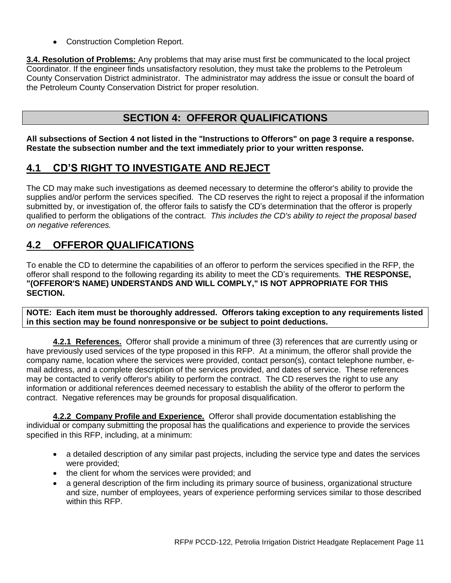• Construction Completion Report.

**3.4. Resolution of Problems:** Any problems that may arise must first be communicated to the local project Coordinator. If the engineer finds unsatisfactory resolution, they must take the problems to the Petroleum County Conservation District administrator. The administrator may address the issue or consult the board of the Petroleum County Conservation District for proper resolution.

### **SECTION 4: OFFEROR QUALIFICATIONS**

**All subsections of Section 4 not listed in the "Instructions to Offerors" on page 3 require a response. Restate the subsection number and the text immediately prior to your written response.**

### **4.1 CD'S RIGHT TO INVESTIGATE AND REJECT**

The CD may make such investigations as deemed necessary to determine the offeror's ability to provide the supplies and/or perform the services specified. The CD reserves the right to reject a proposal if the information submitted by, or investigation of, the offeror fails to satisfy the CD's determination that the offeror is properly qualified to perform the obligations of the contract. *This includes the CD's ability to reject the proposal based on negative references.*

### **4.2 OFFEROR QUALIFICATIONS**

To enable the CD to determine the capabilities of an offeror to perform the services specified in the RFP, the offeror shall respond to the following regarding its ability to meet the CD's requirements. **THE RESPONSE, "(OFFEROR'S NAME) UNDERSTANDS AND WILL COMPLY," IS NOT APPROPRIATE FOR THIS SECTION.**

**NOTE: Each item must be thoroughly addressed. Offerors taking exception to any requirements listed in this section may be found nonresponsive or be subject to point deductions.**

**4.2.1 References.** Offeror shall provide a minimum of three (3) references that are currently using or have previously used services of the type proposed in this RFP. At a minimum, the offeror shall provide the company name, location where the services were provided, contact person(s), contact telephone number, email address, and a complete description of the services provided, and dates of service. These references may be contacted to verify offeror's ability to perform the contract. The CD reserves the right to use any information or additional references deemed necessary to establish the ability of the offeror to perform the contract. Negative references may be grounds for proposal disqualification.

**4.2.2 Company Profile and Experience.** Offeror shall provide documentation establishing the individual or company submitting the proposal has the qualifications and experience to provide the services specified in this RFP, including, at a minimum:

- a detailed description of any similar past projects, including the service type and dates the services were provided;
- the client for whom the services were provided; and
- a general description of the firm including its primary source of business, organizational structure and size, number of employees, years of experience performing services similar to those described within this RFP.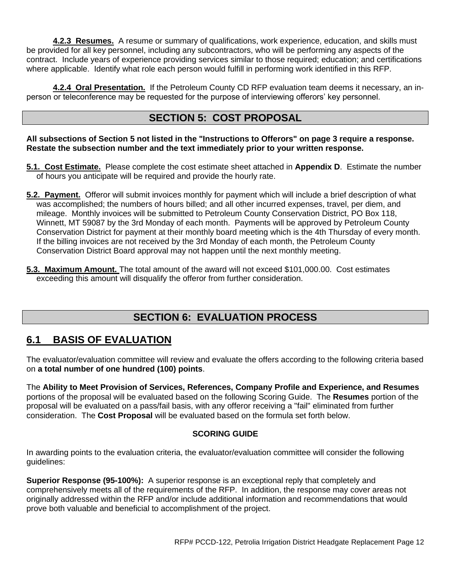**4.2.3 Resumes.** A resume or summary of qualifications, work experience, education, and skills must be provided for all key personnel, including any subcontractors, who will be performing any aspects of the contract. Include years of experience providing services similar to those required; education; and certifications where applicable. Identify what role each person would fulfill in performing work identified in this RFP.

**4.2.4 Oral Presentation.** If the Petroleum County CD RFP evaluation team deems it necessary, an inperson or teleconference may be requested for the purpose of interviewing offerors' key personnel.

### **SECTION 5: COST PROPOSAL**

**All subsections of Section 5 not listed in the "Instructions to Offerors" on page 3 require a response. Restate the subsection number and the text immediately prior to your written response.**

- **5.1. Cost Estimate.** Please complete the cost estimate sheet attached in **Appendix D**. Estimate the number of hours you anticipate will be required and provide the hourly rate.
- **5.2. Payment.** Offeror will submit invoices monthly for payment which will include a brief description of what was accomplished; the numbers of hours billed; and all other incurred expenses, travel, per diem, and mileage. Monthly invoices will be submitted to Petroleum County Conservation District, PO Box 118, Winnett, MT 59087 by the 3rd Monday of each month. Payments will be approved by Petroleum County Conservation District for payment at their monthly board meeting which is the 4th Thursday of every month. If the billing invoices are not received by the 3rd Monday of each month, the Petroleum County Conservation District Board approval may not happen until the next monthly meeting.
- **5.3. Maximum Amount.** The total amount of the award will not exceed \$101,000.00. Cost estimates exceeding this amount will disqualify the offeror from further consideration.

# **SECTION 6: EVALUATION PROCESS**

### **6.1 BASIS OF EVALUATION**

The evaluator/evaluation committee will review and evaluate the offers according to the following criteria based on **a total number of one hundred (100) points**.

The **Ability to Meet Provision of Services, References, Company Profile and Experience, and Resumes**  portions of the proposal will be evaluated based on the following Scoring Guide. The **Resumes** portion of the proposal will be evaluated on a pass/fail basis, with any offeror receiving a "fail" eliminated from further consideration. The **Cost Proposal** will be evaluated based on the formula set forth below.

### **SCORING GUIDE**

In awarding points to the evaluation criteria, the evaluator/evaluation committee will consider the following guidelines:

**Superior Response (95-100%):** A superior response is an exceptional reply that completely and comprehensively meets all of the requirements of the RFP. In addition, the response may cover areas not originally addressed within the RFP and/or include additional information and recommendations that would prove both valuable and beneficial to accomplishment of the project.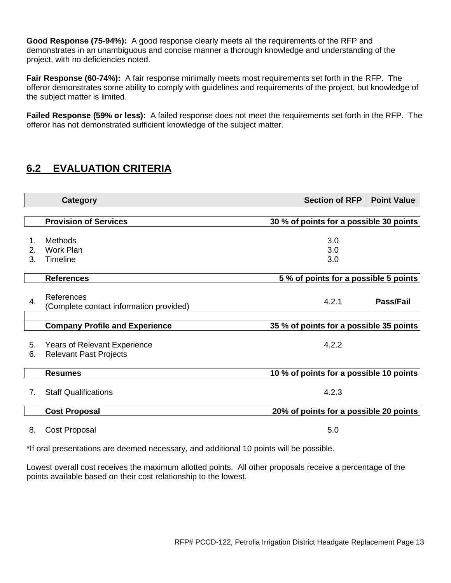**Good Response (75-94%):** A good response clearly meets all the requirements of the RFP and demonstrates in an unambiguous and concise manner a thorough knowledge and understanding of the project, with no deficiencies noted.

**Fair Response (60-74%):** A fair response minimally meets most requirements set forth in the RFP. The offeror demonstrates some ability to comply with guidelines and requirements of the project, but knowledge of the subject matter is limited.

**Failed Response (59% or less):** A failed response does not meet the requirements set forth in the RFP. The offeror has not demonstrated sufficient knowledge of the subject matter.

# **6.2 EVALUATION CRITERIA**

| <b>Category</b> |                                                                      | <b>Section of RFP</b>                   | <b>Point Value</b> |
|-----------------|----------------------------------------------------------------------|-----------------------------------------|--------------------|
|                 | <b>Provision of Services</b>                                         | 30 % of points for a possible 30 points |                    |
| 1.<br>2.<br>3.  | Methods<br><b>Work Plan</b><br>Timeline                              | 3.0<br>3.0<br>3.0                       |                    |
|                 | <b>References</b>                                                    | 5% of points for a possible 5 points    |                    |
| 4.              | References<br>(Complete contact information provided)                | 4.2.1                                   | Pass/Fail          |
|                 | <b>Company Profile and Experience</b>                                | 35 % of points for a possible 35 points |                    |
| 5.<br>6.        | <b>Years of Relevant Experience</b><br><b>Relevant Past Projects</b> | 4.2.2                                   |                    |
|                 | <b>Resumes</b>                                                       | 10 % of points for a possible 10 points |                    |
| 7 <sub>1</sub>  | <b>Staff Qualifications</b>                                          | 4.2.3                                   |                    |
|                 | <b>Cost Proposal</b>                                                 | 20% of points for a possible 20 points  |                    |
| 8.              | Cost Proposal                                                        | 5.0                                     |                    |

\*If oral presentations are deemed necessary, and additional 10 points will be possible.

Lowest overall cost receives the maximum allotted points. All other proposals receive a percentage of the points available based on their cost relationship to the lowest.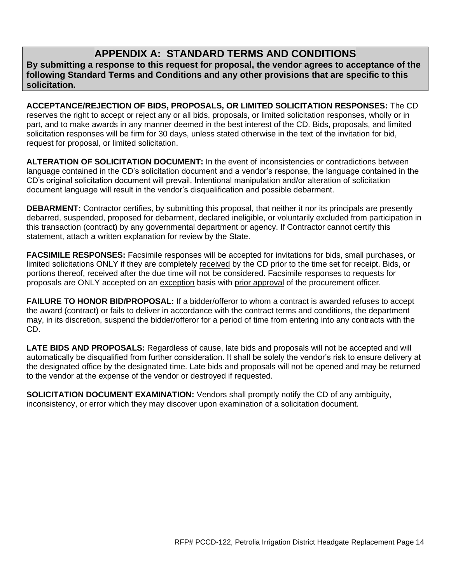# **APPENDIX A: STANDARD TERMS AND CONDITIONS**

**By submitting a response to this request for proposal, the vendor agrees to acceptance of the following Standard Terms and Conditions and any other provisions that are specific to this solicitation.** 

**ACCEPTANCE/REJECTION OF BIDS, PROPOSALS, OR LIMITED SOLICITATION RESPONSES:** The CD reserves the right to accept or reject any or all bids, proposals, or limited solicitation responses, wholly or in part, and to make awards in any manner deemed in the best interest of the CD. Bids, proposals, and limited solicitation responses will be firm for 30 days, unless stated otherwise in the text of the invitation for bid, request for proposal, or limited solicitation.

**ALTERATION OF SOLICITATION DOCUMENT:** In the event of inconsistencies or contradictions between language contained in the CD's solicitation document and a vendor's response, the language contained in the CD's original solicitation document will prevail. Intentional manipulation and/or alteration of solicitation document language will result in the vendor's disqualification and possible debarment.

**DEBARMENT:** Contractor certifies, by submitting this proposal, that neither it nor its principals are presently debarred, suspended, proposed for debarment, declared ineligible, or voluntarily excluded from participation in this transaction (contract) by any governmental department or agency. If Contractor cannot certify this statement, attach a written explanation for review by the State.

**FACSIMILE RESPONSES:** Facsimile responses will be accepted for invitations for bids, small purchases, or limited solicitations ONLY if they are completely received by the CD prior to the time set for receipt. Bids, or portions thereof, received after the due time will not be considered. Facsimile responses to requests for proposals are ONLY accepted on an exception basis with prior approval of the procurement officer.

**FAILURE TO HONOR BID/PROPOSAL:** If a bidder/offeror to whom a contract is awarded refuses to accept the award (contract) or fails to deliver in accordance with the contract terms and conditions, the department may, in its discretion, suspend the bidder/offeror for a period of time from entering into any contracts with the CD.

**LATE BIDS AND PROPOSALS:** Regardless of cause, late bids and proposals will not be accepted and will automatically be disqualified from further consideration. It shall be solely the vendor's risk to ensure delivery at the designated office by the designated time. Late bids and proposals will not be opened and may be returned to the vendor at the expense of the vendor or destroyed if requested.

**SOLICITATION DOCUMENT EXAMINATION:** Vendors shall promptly notify the CD of any ambiguity, inconsistency, or error which they may discover upon examination of a solicitation document.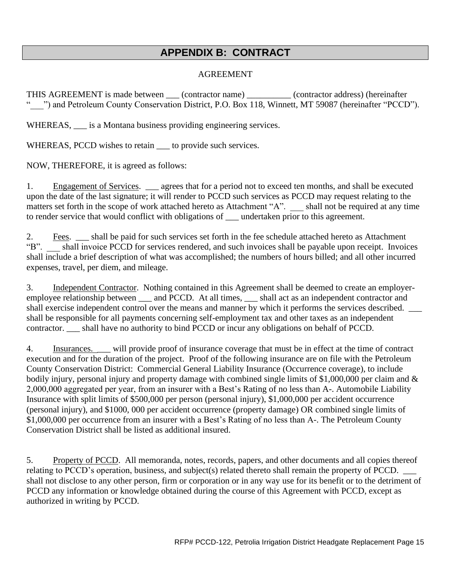# **APPENDIX B: CONTRACT**

### AGREEMENT

THIS AGREEMENT is made between \_\_\_ (contractor name) \_\_\_\_\_\_\_\_\_\_ (contractor address) (hereinafter " ) and Petroleum County Conservation District, P.O. Box 118, Winnett, MT 59087 (hereinafter "PCCD").

WHEREAS,  $\_\_$  is a Montana business providing engineering services.

WHEREAS, PCCD wishes to retain  $\_\_$  to provide such services.

NOW, THEREFORE, it is agreed as follows:

1. Engagement of Services. \_\_\_ agrees that for a period not to exceed ten months, and shall be executed upon the date of the last signature; it will render to PCCD such services as PCCD may request relating to the matters set forth in the scope of work attached hereto as Attachment "A". Shall not be required at any time to render service that would conflict with obligations of \_\_\_ undertaken prior to this agreement.

2. Fees. \_\_\_ shall be paid for such services set forth in the fee schedule attached hereto as Attachment "B". \_\_\_ shall invoice PCCD for services rendered, and such invoices shall be payable upon receipt. Invoices shall include a brief description of what was accomplished; the numbers of hours billed; and all other incurred expenses, travel, per diem, and mileage.

3. Independent Contractor. Nothing contained in this Agreement shall be deemed to create an employeremployee relationship between \_\_\_ and PCCD. At all times, \_\_\_ shall act as an independent contractor and shall exercise independent control over the means and manner by which it performs the services described. shall be responsible for all payments concerning self-employment tax and other taxes as an independent contractor. \_\_\_ shall have no authority to bind PCCD or incur any obligations on behalf of PCCD.

4. Insurances. \_\_\_ will provide proof of insurance coverage that must be in effect at the time of contract execution and for the duration of the project. Proof of the following insurance are on file with the Petroleum County Conservation District: Commercial General Liability Insurance (Occurrence coverage), to include bodily injury, personal injury and property damage with combined single limits of \$1,000,000 per claim and & 2,000,000 aggregated per year, from an insurer with a Best's Rating of no less than A-. Automobile Liability Insurance with split limits of \$500,000 per person (personal injury), \$1,000,000 per accident occurrence (personal injury), and \$1000, 000 per accident occurrence (property damage) OR combined single limits of \$1,000,000 per occurrence from an insurer with a Best's Rating of no less than A-. The Petroleum County Conservation District shall be listed as additional insured.

5. Property of PCCD. All memoranda, notes, records, papers, and other documents and all copies thereof relating to PCCD's operation, business, and subject(s) related thereto shall remain the property of PCCD. shall not disclose to any other person, firm or corporation or in any way use for its benefit or to the detriment of PCCD any information or knowledge obtained during the course of this Agreement with PCCD, except as authorized in writing by PCCD.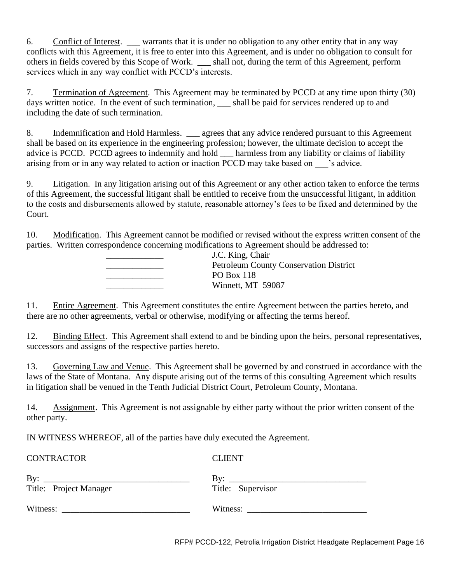6. Conflict of Interest. \_\_\_ warrants that it is under no obligation to any other entity that in any way conflicts with this Agreement, it is free to enter into this Agreement, and is under no obligation to consult for others in fields covered by this Scope of Work. \_\_\_ shall not, during the term of this Agreement, perform services which in any way conflict with PCCD's interests.

7. Termination of Agreement. This Agreement may be terminated by PCCD at any time upon thirty (30) days written notice. In the event of such termination, shall be paid for services rendered up to and including the date of such termination.

8. Indemnification and Hold Harmless. <u>\_\_\_</u> agrees that any advice rendered pursuant to this Agreement shall be based on its experience in the engineering profession; however, the ultimate decision to accept the advice is PCCD. PCCD agrees to indemnify and hold harmless from any liability or claims of liability arising from or in any way related to action or inaction PCCD may take based on sadvice.

9. Litigation. In any litigation arising out of this Agreement or any other action taken to enforce the terms of this Agreement, the successful litigant shall be entitled to receive from the unsuccessful litigant, in addition to the costs and disbursements allowed by statute, reasonable attorney's fees to be fixed and determined by the Court.

10. Modification. This Agreement cannot be modified or revised without the express written consent of the parties. Written correspondence concerning modifications to Agreement should be addressed to:

| J.C. King, Chair                              |
|-----------------------------------------------|
| <b>Petroleum County Conservation District</b> |
| PO Box 118                                    |
| Winnett, MT 59087                             |
|                                               |

11. Entire Agreement. This Agreement constitutes the entire Agreement between the parties hereto, and there are no other agreements, verbal or otherwise, modifying or affecting the terms hereof.

12. Binding Effect. This Agreement shall extend to and be binding upon the heirs, personal representatives, successors and assigns of the respective parties hereto.

13. Governing Law and Venue. This Agreement shall be governed by and construed in accordance with the laws of the State of Montana. Any dispute arising out of the terms of this consulting Agreement which results in litigation shall be venued in the Tenth Judicial District Court, Petroleum County, Montana.

14. Assignment. This Agreement is not assignable by either party without the prior written consent of the other party.

IN WITNESS WHEREOF, all of the parties have duly executed the Agreement.

| <b>CONTRACTOR</b>      | <b>CLIENT</b>                |
|------------------------|------------------------------|
| By:                    | By: $\overline{\phantom{a}}$ |
| Title: Project Manager | Title: Supervisor            |
|                        |                              |

RFP# PCCD-122, Petrolia Irrigation District Headgate Replacement Page 16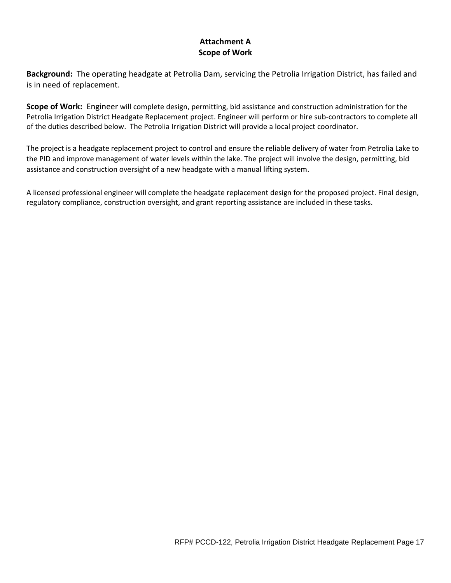### **Attachment A Scope of Work**

**Background:** The operating headgate at Petrolia Dam, servicing the Petrolia Irrigation District, has failed and is in need of replacement.

**Scope of Work:** Engineer will complete design, permitting, bid assistance and construction administration for the Petrolia Irrigation District Headgate Replacement project. Engineer will perform or hire sub-contractors to complete all of the duties described below. The Petrolia Irrigation District will provide a local project coordinator.

The project is a headgate replacement project to control and ensure the reliable delivery of water from Petrolia Lake to the PID and improve management of water levels within the lake. The project will involve the design, permitting, bid assistance and construction oversight of a new headgate with a manual lifting system.

A licensed professional engineer will complete the headgate replacement design for the proposed project. Final design, regulatory compliance, construction oversight, and grant reporting assistance are included in these tasks.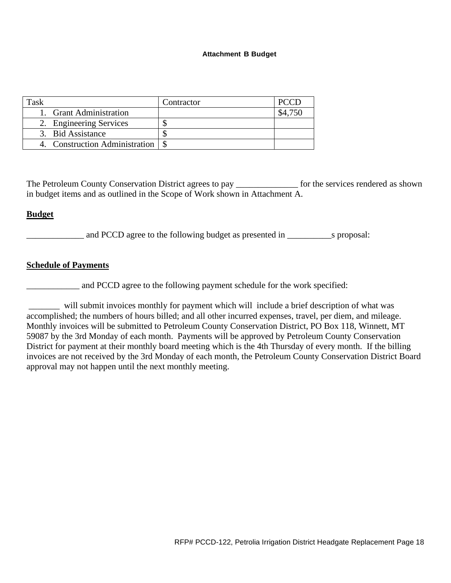#### **Attachment B Budget**

|                                | Contractor |  |
|--------------------------------|------------|--|
| 1. Grant Administration        |            |  |
| 2. Engineering Services        |            |  |
| 3. Bid Assistance              |            |  |
| 4. Construction Administration |            |  |

The Petroleum County Conservation District agrees to pay \_\_\_\_\_\_\_\_\_\_\_\_\_\_ for the services rendered as shown in budget items and as outlined in the Scope of Work shown in Attachment A.

#### **Budget**

\_\_\_\_\_\_\_\_\_\_\_\_\_ and PCCD agree to the following budget as presented in \_\_\_\_\_\_\_\_\_\_s proposal:

#### **Schedule of Payments**

and PCCD agree to the following payment schedule for the work specified:

\_\_\_\_\_\_\_ will submit invoices monthly for payment which will include a brief description of what was accomplished; the numbers of hours billed; and all other incurred expenses, travel, per diem, and mileage. Monthly invoices will be submitted to Petroleum County Conservation District, PO Box 118, Winnett, MT 59087 by the 3rd Monday of each month. Payments will be approved by Petroleum County Conservation District for payment at their monthly board meeting which is the 4th Thursday of every month. If the billing invoices are not received by the 3rd Monday of each month, the Petroleum County Conservation District Board approval may not happen until the next monthly meeting.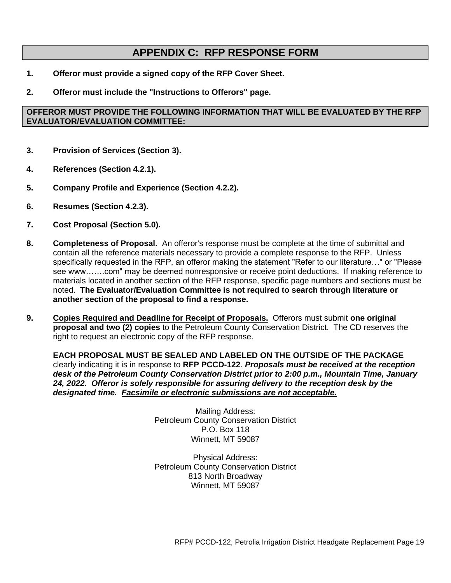### **APPENDIX C: RFP RESPONSE FORM**

- **1. Offeror must provide a signed copy of the RFP Cover Sheet.**
- **2. Offeror must include the "Instructions to Offerors" page.**

#### **OFFEROR MUST PROVIDE THE FOLLOWING INFORMATION THAT WILL BE EVALUATED BY THE RFP EVALUATOR/EVALUATION COMMITTEE:**

- **3. Provision of Services (Section 3).**
- **4. References (Section 4.2.1).**
- **5. Company Profile and Experience (Section 4.2.2).**
- **6. Resumes (Section 4.2.3).**
- **7. Cost Proposal (Section 5.0).**
- **8. Completeness of Proposal.** An offeror's response must be complete at the time of submittal and contain all the reference materials necessary to provide a complete response to the RFP. Unless specifically requested in the RFP, an offeror making the statement "Refer to our literature…" or "Please see www…….com" may be deemed nonresponsive or receive point deductions. If making reference to materials located in another section of the RFP response, specific page numbers and sections must be noted. **The Evaluator/Evaluation Committee is not required to search through literature or another section of the proposal to find a response.**
- **9. Copies Required and Deadline for Receipt of Proposals.** Offerors must submit **one original proposal and two (2) copies** to the Petroleum County Conservation District. The CD reserves the right to request an electronic copy of the RFP response.

**EACH PROPOSAL MUST BE SEALED AND LABELED ON THE OUTSIDE OF THE PACKAGE** clearly indicating it is in response to **RFP PCCD-122**. *Proposals must be received at the reception desk of the Petroleum County Conservation District prior to 2:00 p.m., Mountain Time, January 24, 2022. Offeror is solely responsible for assuring delivery to the reception desk by the designated time. Facsimile or electronic submissions are not acceptable.*

> Mailing Address: Petroleum County Conservation District P.O. Box 118 Winnett, MT 59087

> Physical Address: Petroleum County Conservation District 813 North Broadway Winnett, MT 59087